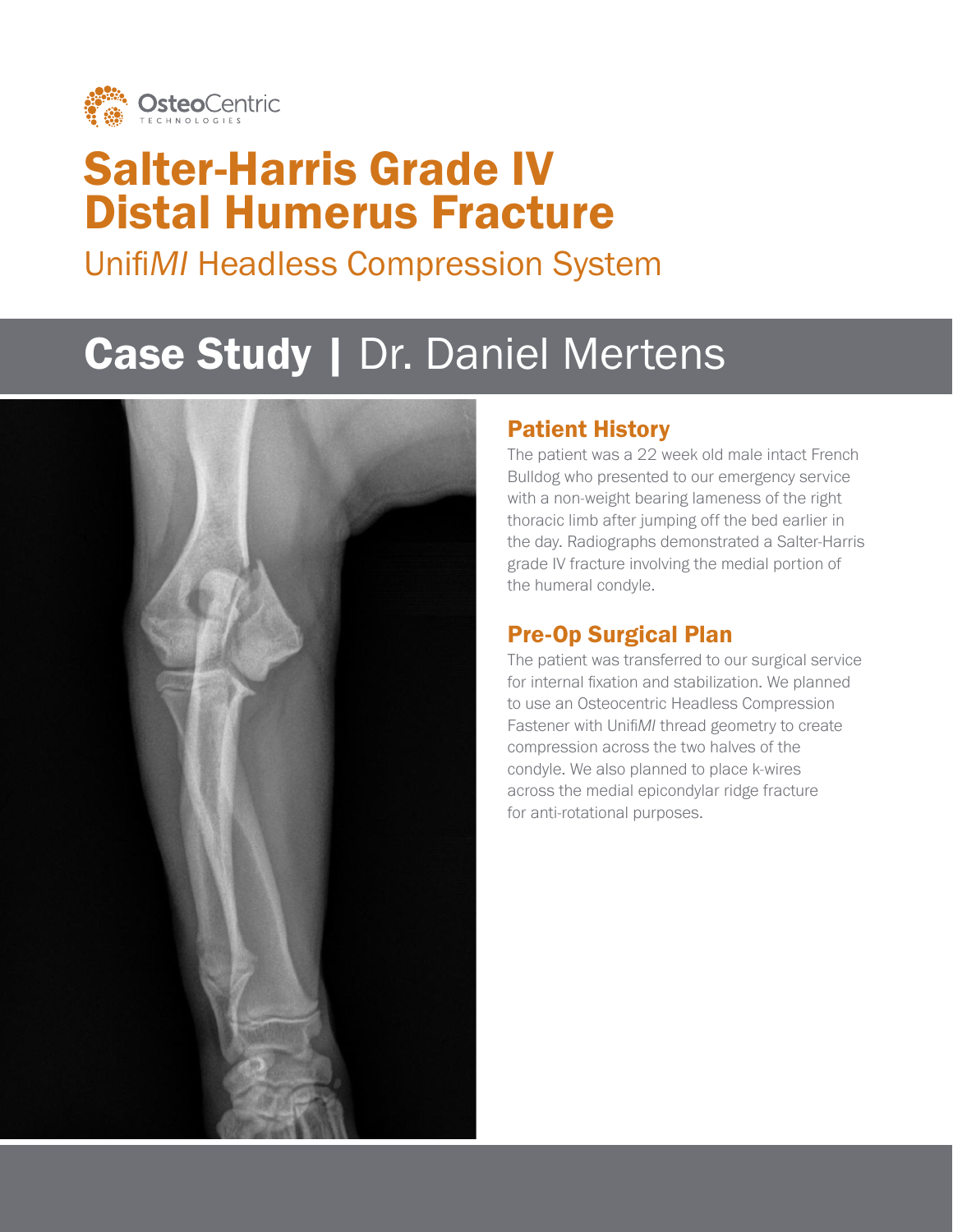

## Salter-Harris Grade IV Distal Humerus Fracture

Unifi*MI* Headless Compression System

# Case Study | Dr. Daniel Mertens



#### Patient History

The patient was a 22 week old male intact French Bulldog who presented to our emergency service with a non-weight bearing lameness of the right thoracic limb after jumping off the bed earlier in the day. Radiographs demonstrated a Salter-Harris grade IV fracture involving the medial portion of the humeral condyle.

## Pre-Op Surgical Plan

The patient was transferred to our surgical service for internal fixation and stabilization. We planned to use an Osteocentric Headless Compression Fastener with Unifi*MI* thread geometry to create compression across the two halves of the condyle. We also planned to place k-wires across the medial epicondylar ridge fracture for anti-rotational purposes.